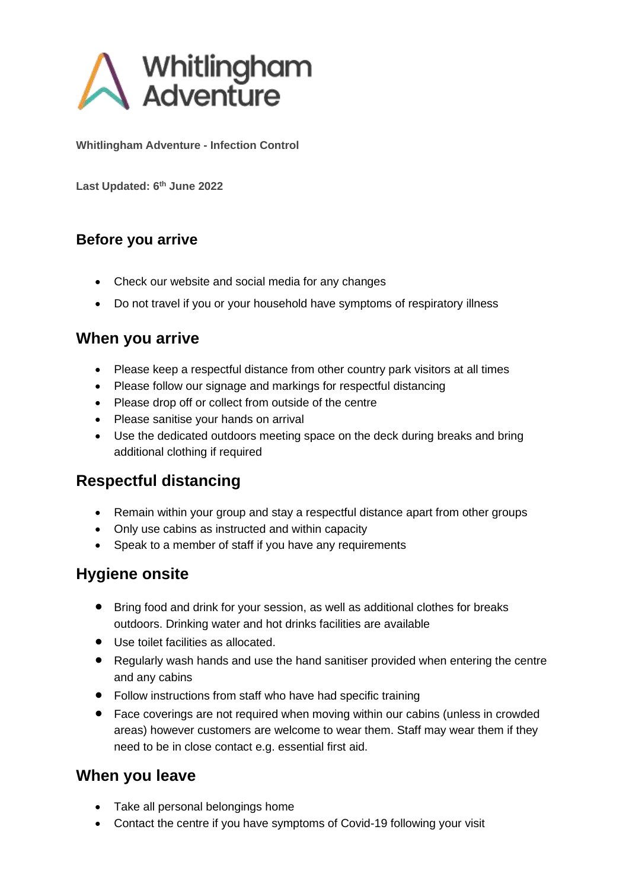

**Whitlingham Adventure - Infection Control**

**Last Updated: 6 th June 2022**

### **Before you arrive**

- Check our website and social media for any changes
- Do not travel if you or your household have symptoms of respiratory illness

### **When you arrive**

- Please keep a respectful distance from other country park visitors at all times
- Please follow our signage and markings for respectful distancing
- Please drop off or collect from outside of the centre
- Please sanitise your hands on arrival
- Use the dedicated outdoors meeting space on the deck during breaks and bring additional clothing if required

### **Respectful distancing**

- Remain within your group and stay a respectful distance apart from other groups
- Only use cabins as instructed and within capacity
- Speak to a member of staff if you have any requirements

### **Hygiene onsite**

- Bring food and drink for your session, as well as additional clothes for breaks outdoors. Drinking water and hot drinks facilities are available
- Use toilet facilities as allocated.
- Regularly wash hands and use the hand sanitiser provided when entering the centre and any cabins
- Follow instructions from staff who have had specific training
- Face coverings are not required when moving within our cabins (unless in crowded areas) however customers are welcome to wear them. Staff may wear them if they need to be in close contact e.g. essential first aid.

### **When you leave**

- Take all personal belongings home
- Contact the centre if you have symptoms of Covid-19 following your visit